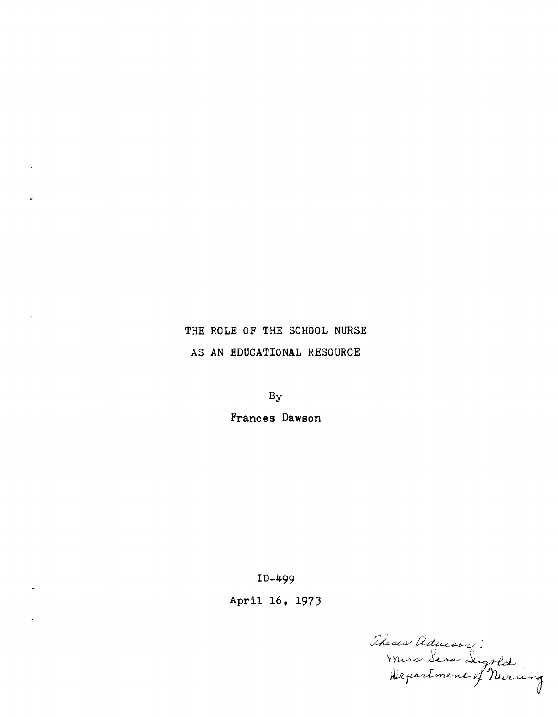# THE ROLE OF THE SCHOOL NURSE AS AN EDUCATIONAL RESOURCE

By

Frances Dawson

ID-499

April 16, 1973

Thesis Advisor :<br>Muss Sara Digold<br>Hepartment of Nursing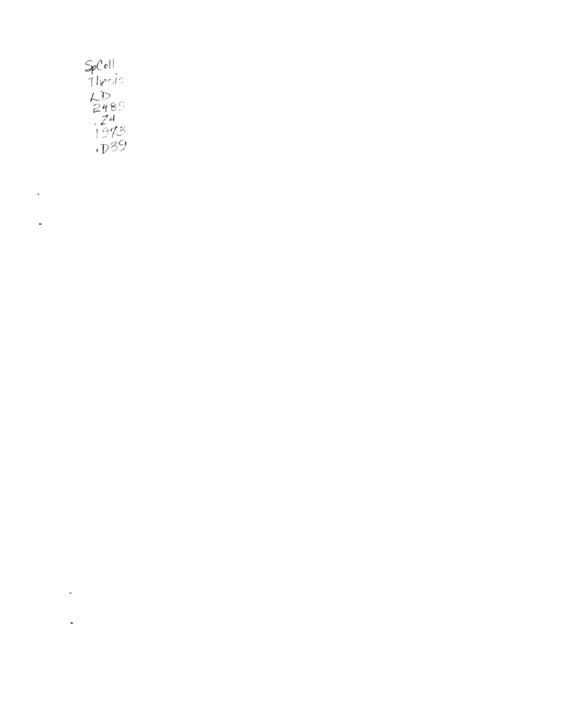

 $\ddot{\phantom{0}}$ 

 $\tilde{\phantom{a}}$ 

 $\frac{1}{\sqrt{2}}$ 

 $\hat{\mathcal{L}}$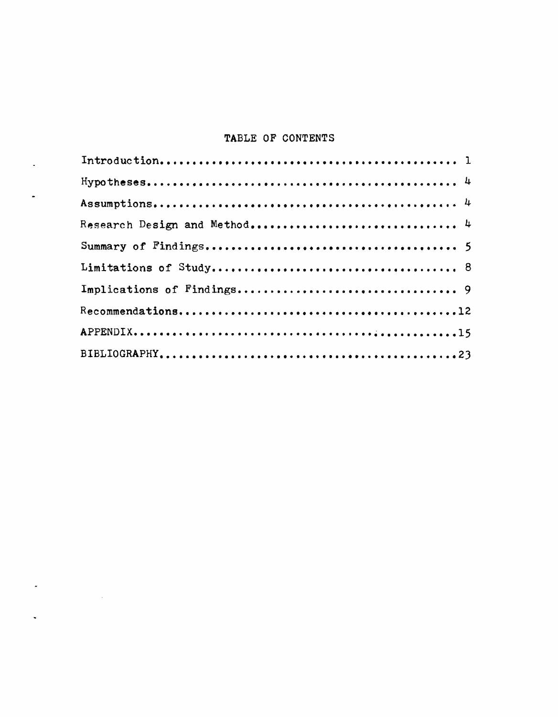# TABLE OF CONTENTS

 $\sim$ 

 $\mathbb{Z}^2$ 

 $\label{eq:2.1} \frac{1}{\sqrt{2}}\int_{\mathbb{R}^3}\frac{1}{\sqrt{2}}\left(\frac{1}{\sqrt{2}}\right)^2\frac{1}{\sqrt{2}}\left(\frac{1}{\sqrt{2}}\right)^2\frac{1}{\sqrt{2}}\left(\frac{1}{\sqrt{2}}\right)^2.$ 

 $\frac{1}{2}$  . The set of  $\frac{1}{2}$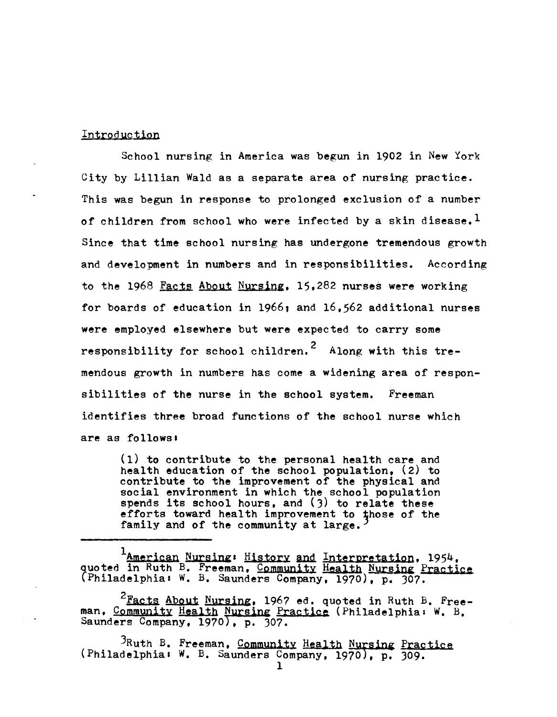#### Introduction

School nursing in America was begun in 1902 in New York City by Lillian Wald as a separate area of nursing practice. This was begun in response to prolonged exclusion of a number of children from school who were infected by a skin disease.<sup>1</sup> Since that time school nursing has undergone tremendous growth and development in numbers and in responsibilities. According to the 1968 Facts About Nursing, 15,282 nurses were working for boards of education in 1966, and 16,562 additional nurses were employed elsewhere but were expected to carry some responsibility for school children.<sup>2</sup> Along with this tremendous growth in numbers has come a widening area of responsibilities of the nurse in the school system. Freeman identifies three broad functions of the school nurse which are as follows:

(1) to contribute to the personal health care and health education of the school population, (2) to contribute to the improvement of the physical and social environment in which the school population spends its school hours, and (3) to relate these efforts toward health improvement to those of the family and of the community at large.

LAmerican Nursing: History and Interpretation, 1954, quoted in Ruth B. Freeman, Community Health Nursing Practice (Philadelphial W. B. Saunders Company, 1970), p. 307.

 $2\frac{\text{Facts About Nursing}}{\text{F}}$ , 1967 ed. quoted in Ruth B. Freeman. Community Health Nursing Practice (Philadelphia: W. B. Saunders Company, 1970), p. 307.

<sup>3</sup>Ruth B. Freeman, Community Health Nursing Practice (Philadelphia: W. B. Saunders Company, 1970), p. 309.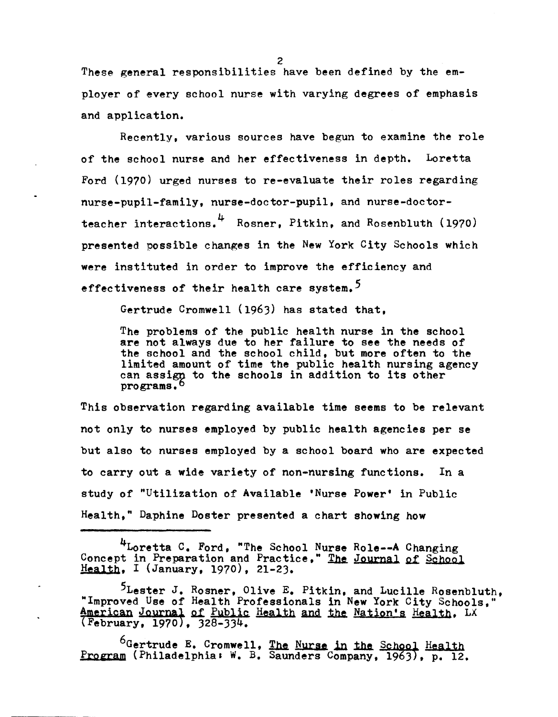These general responsibilities have been defined by the employer of every school nurse with varying degrees of emphasis and application.

Recently, various sources have begun to examine the role of the school nurse and her effectiveness in depth. Loretta Ford (1970) urged nurses to re-evaluate their roles regarding nurse-pupil-family, nurse-doctor-pupil. and nurse-doctorteacher interactions. 4 Rosner, Pitkin, and Rosenbluth (1970) presented possible changes in the New York City Schools which were instituted in order to improve the efficiency and effectiveness of their health care system.<sup>5</sup>

Gertrude Cromwell (1963) has stated that,

The problems of the public health nurse in the school are not always due to her failure to see the needs of the school and the school child, but more often to the limited amount of time the public health nursing agency can assigg to the schools in addition to its other programs.<sup>6</sup>

This observation regarding available time seems to be relevant not only to nurses employed by public health agencies per se but also to nurses employed by a school board who are expected to carry out a wide variety of non-nursing functions. In a study of "Utilization of Available 'Nurse Power' in Public Health," Daphine Doster presented a chart showing how

4Loretta C. Ford, "The School Nurse Role--A Changing Concept in Preparation and Practice." The Journal of School Health, I (January, 1970), 21-23.

<sup>5</sup>Lester J. Rosner, Olive E. Pitkin, and Lucille Rosenbluth, "Improved Use of Health Professionals in New York City Schools." Improved use of health Professionals in New Iork City School.<br>American Journal of Public Health and the Nation's Health, LX (February, 1970 , 328-334.

 $^6$ Gertrude E. Cromwell, The Nurse in the School Health Program (Philadelphia: W. B. Saunders Company, 1963), p. 12.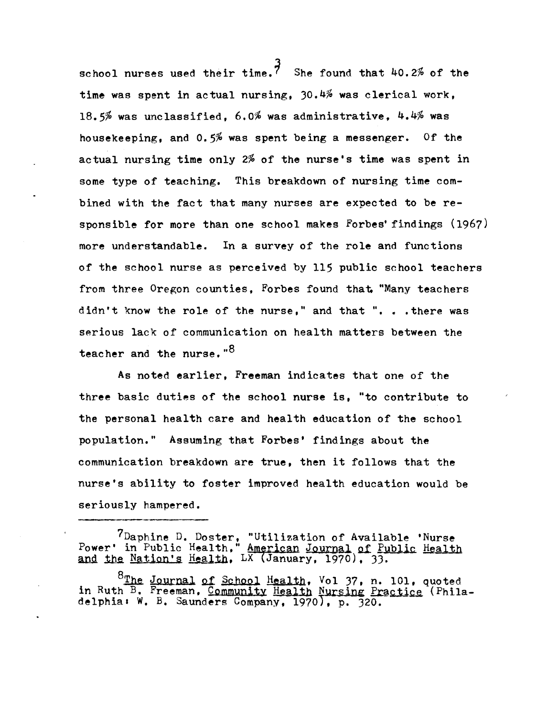school nurses used their time.<sup>7</sup> She found that 40.2% of the time was spent in actual nursing, 30.4% was clerical work, lS.5% was unclassified, 6.0% was administrative, 4.4% was housekeeping, and 0.5% was spent being a messenger. Of the actual nursing time only 2% of the nurse's time was spent in some type of teaching. This breakdown of nursing time combined with the fact that many nurses are expected to be responsible for more than one school makes Forbes' findings (1967) more understandable. In a survey of the role and functions of the school nurse as perceived by 115 public school teachers from three Oregon counties. Forbes found that, "Many teachers didn't know the role of the nurse," and that ". . . there was serious lack of communication on health matters between the teacher and the nurse."<sup>8</sup>

As noted earlier, Freeman indicates that one of the three basic duties of the school nurse is, "to contribute to the personal health care and health education of the school population." Assuming that Forbes' findings about the communication breakdown are true. then it follows that the nurse's ability to foster improved health education would be seriously hampered.

7Daphine D. Doster, "Utilization of Available 'Nurse Power' in Public Health, " American Journal of Public Health and the Nation's Health. LX (January, 1970), 33.

<sup>8</sup>The Journal of School Health. Vol 37. n. 101. quoted in Ruth B. Freeman, Community Health Nursing Practice (Philadelphia: W. B. Saunders Company, 1970), p. 320.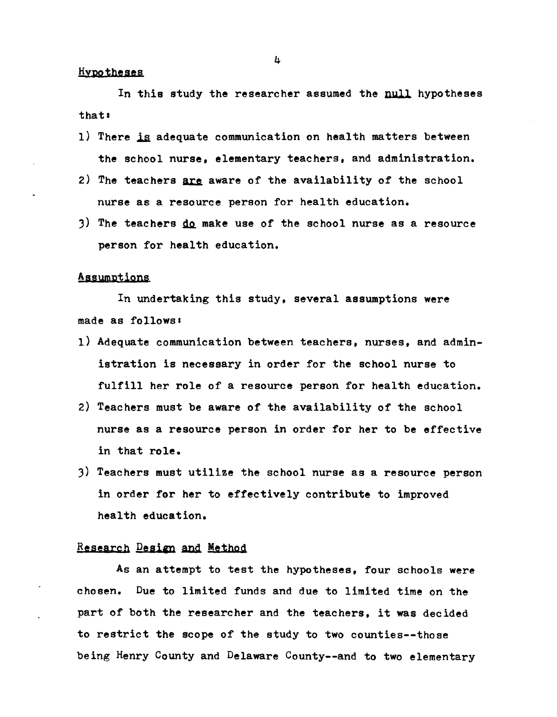## **Hypotheses**

In this study the researcher assumed the null hypotheses that.

- 1) There is adequate communication on health matters between the school nurse, elementary teachers, and administration.
- 2) The teachers are aware of the availability of the school nurse as a resource person for health education.
- 3) The teachers  $\underline{do}$  make use of the school nurse as a resource person for health education.

#### Assumptions

In undertaking this study, several assumptions were made as follows!

- 1) Adequate communication between teachers, nurses, and administration is necessary in order for the school nurse to fulfill her role of a resource person for health education.
- 2) Teachers must be aware of the availability of the school nurse as a resource person in order for her to be effective in that role.
- 3) Teachers must utilize the school nurse as a resource person in order for her to effectively contribute to improved health education.

# Research Design and Method

As an attempt to test the hypotheses, four schools were chosen. Due to limited funds and due to limited time on the part of both the researcher and the teachers, it was decided to restrict the scope of the study to two counties--those being Henry County and Delaware County--and to two elementary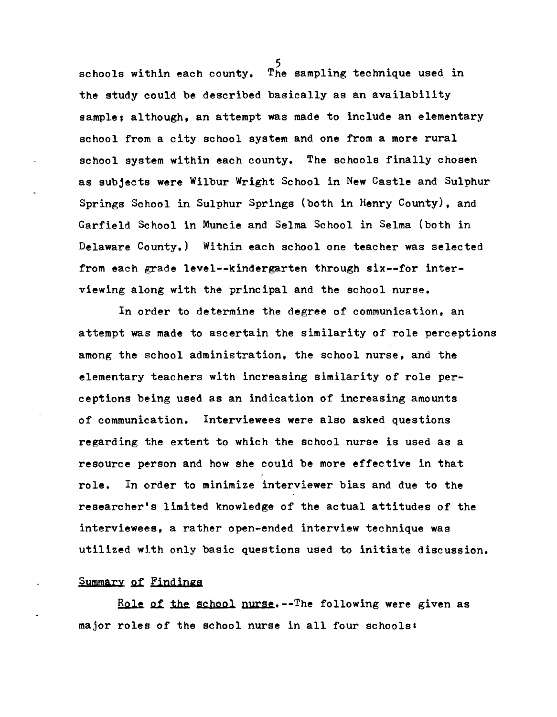schools within each county. The sampling technique used in the study could be described basically as an availability sample; although, an attempt was made to include an elementary school from a city school system and one from a more rural school system within each county. The schools finally chosen as subjects were Wilbur Wright School in New Castle and Sulphur Springs School in Sulphur Springs (both in Henry County), and Garfield School in Muncie and Selma School in Selma (both in Delaware County.) Within each school one teacher was selected from each grade level--kindergarten through six--for interviewing along with the principal and the school nurse.

In order to determine the degree of communication, an attempt was made to ascertain the similarity of role perceptions among the school administration, the school nurse, and the elementary teachers with increasing similarity of role perceptions being used as an indication of increasing amounts of communication. Interviewees were also asked questions regarding the extent to which the school nurse is used as a resource person and how she could be more effective in that role. In order to minimize interviewer bias and due to the researcher's limited knowledge of the actual attitudes of the interviewees, a rather open-ended interview technique was utilized with only basic questions used to initiate discussion.

Summary of Findings

Role of the school nurse.--The following were given as major roles of the school nurse in all four schools: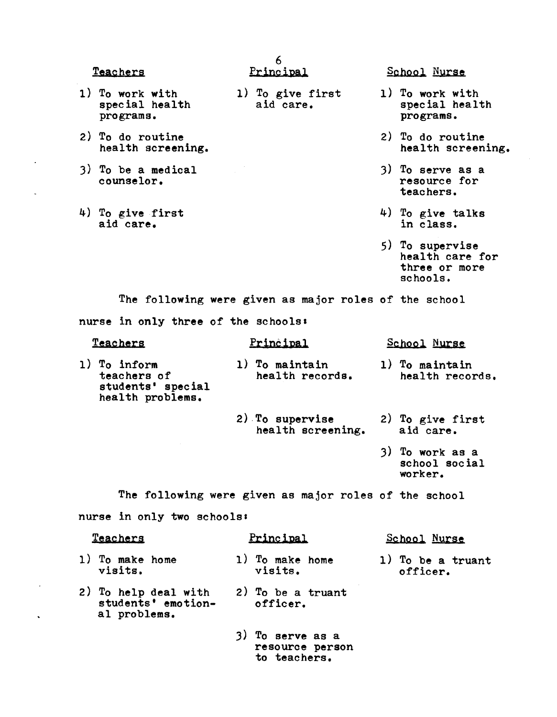Teachers

- 1) To work with special health programs.
- 2) To do routine health screening.
- 3) To be a medical counselor.
- 4) To give first aid care.

6 Principal

- 1) To give first aid care.
- 
- 
- School Nurse
- 1) To work with special health programs.
- 2) To do routine health screening.
- 3) To serve as a resource for teachers.
- 4) To give talks in class.
- 5) To supervise health care for three or more schools.

worker.

The following were given as major roles of the school nurse in only three of the schools:

**Teachers** 1) To inform teachers of students' special health problems. Principal 1) To maintain health records. 2) To supervise health screening. School Nurse 1) To maintain health records. 2) To give first aid care. J) To work as a school soc ia1

The following were given as major roles of the school

nurse in only two schools:

| <b>Teachers</b> |                                                            | Principal |                                 | School Nurse |                               |
|-----------------|------------------------------------------------------------|-----------|---------------------------------|--------------|-------------------------------|
|                 | 1) To make home<br>visits.                                 |           | 1) To make home<br>visits.      |              | 1) To be a truant<br>officer. |
|                 | 2) To help deal with<br>students' emotion-<br>al problems. |           | $2)$ To be a truant<br>officer. |              |                               |

J) To serve as a resource person to teachers.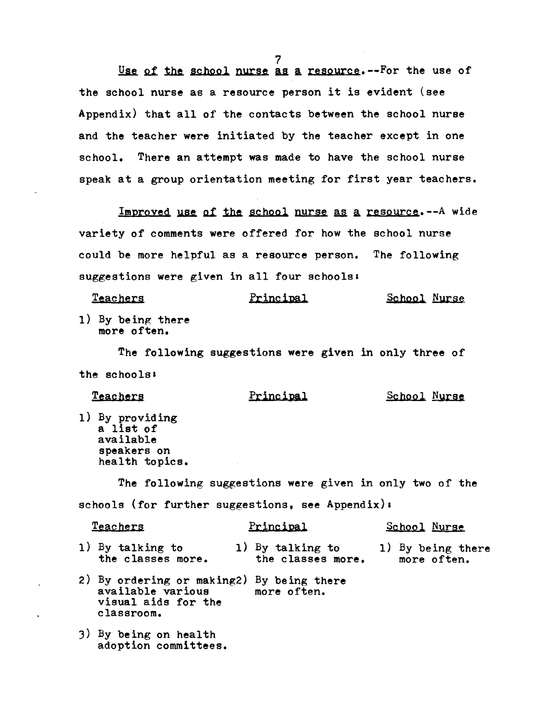$Use of the school nurse as a resource. - For the use of$ </u> the school nurse as a resource person it is evident (see Appendix) that all of the contacts between the school nurse and the teacher were initiated by the teacher except in one school. There an attempt was made to have the school nurse speak at a group orientation meeting for first year teachers.

 $Improved$  use of the school nurse as a resource.--A wide variety of comments were offered for how the school nurse could be more helpful as a resource person. The following suggestions were given in all four schools:

| <b>Teachers</b> | Principal | School Nurse |  |
|-----------------|-----------|--------------|--|
|                 |           |              |  |

1) By being there more often.

The following suggestions were given in only three of the schools:

Teachers 1) By providing a list of available speakers on health topics. Principal School Nurse The following suggestions were given in only two of the

schools (for further suggestions, see Appendix):

| <b>Teachers</b>                       | Principal                             | School Nurse                     |  |
|---------------------------------------|---------------------------------------|----------------------------------|--|
| 1) By talking to<br>the classes more. | 1) By talking to<br>the classes more. | 1) By being there<br>more often. |  |
| $\sim$ $\sim$ $\sim$                  |                                       |                                  |  |

- 2) By ordering or making2) By being there available various visual aids for the classroom. more often.
- 3) By being on health adoption committees.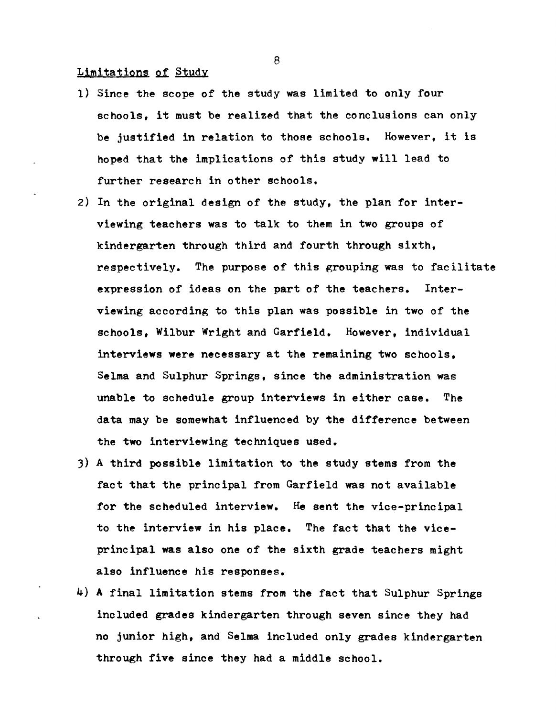# Limitations of Study

- 1) Since the scope of the study was limited to only four schools, it must be realized that the conclusions can only be justified in relation to those schools. However, it is hoped that the implications of this study will lead to further research in other schools.
- 2) In the original design of the study, the plan for interviewing teachers was to talk to them in two groups of kindergarten through third and fourth through sixth, respectively. The purpose of this grouping was to facilitate expression of ideas on the part of the teachers. Interviewing according to this plan was possible in two of the schools, Wilbur Wright and Garfield. However, individual interviews were necessary at the remaining two schools, Selma and Sulphur Springs, since the administration was unable to schedule group interviews in either case. The data may be somewhat influenced by the difference between the two interviewing techniques used.
- 3) A third possible limitation to the study stems from the fact that the principal from Garfield was not available for the scheduled interview. He sent the vice-principal to the interview in his place. The fact that the viceprincipal was also one of the sixth grade teachers might also influence his responses.
- 4) A final limitation stems from the fact that Sulphur Springs included grades kindergarten through seven since they had no junior high, and Selma included only grades kindergarten through five since they had a middle school.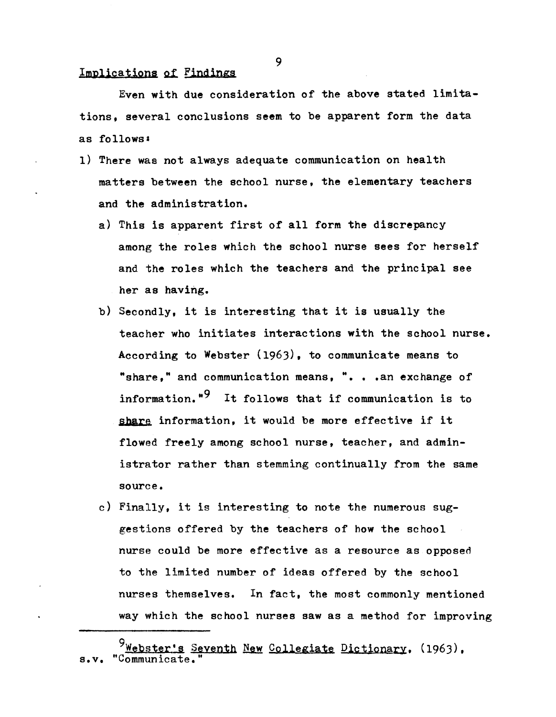#### Implications of Findings

Even with due consideration of the above stated limitations. several conclusions seem to be apparent form the data as follows.

- 1) There was not always adequate communication on health matters between the school nurse, the elementary teachers and the administration.
	- a) This 1s apparent first of all form the discrepancy among the roles which the school nurse sees for herself and the roles which the teachers and the principal see her as having.
	- b) Secondly, it is interesting that it is usually the teacher who initiates interactions with the school nurse. According to Webster (1963), to communicate means to "share," and communication means, ". . . an exchange of information.<sup>"9</sup> It follows that if communication is to share information, it would be more effective if it flowed freely among school nurse, teacher, and administrator rather than stemming continually from the same souree.
	- c) Finally, it is interesting to note the numerous suggestions offered by the teachers of how the school nurse could be more effective as a resource as opposed to the limited number of ideas offered by the school nurses themselves. In fact, the most commonly mentioned way which the school nurses saw as a method for improving

<sup>9</sup>Webster's Seventh New Collegiate Dictionary. (1963). s.v. "Communicate.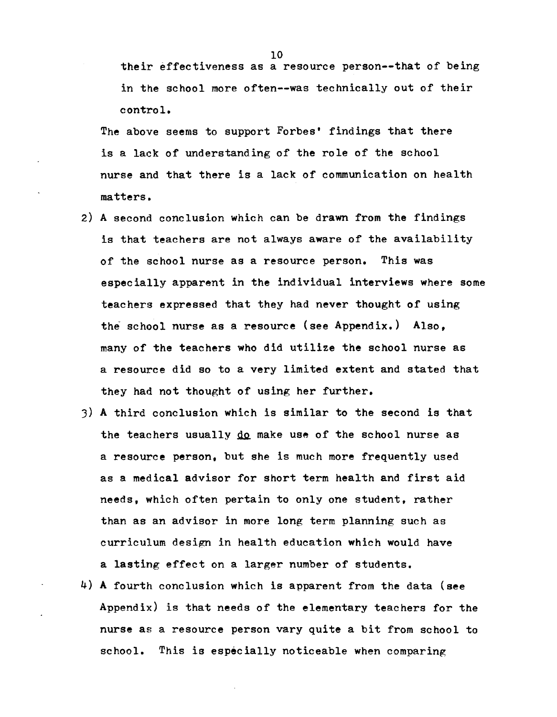their effectiveness as a resource person--that of being in the school more often--was technically out of their control.

The above seems to support Forbes' findings that there is a lack of understanding of the role of the school nurse and that there is a lack of communication on health matters.

- 2) A second. conclusion which can be drawn from the findings is that teachers are not always aware of the availability of the school nurse as a resource person. This was especially apparent in the individual interviews where some teachers expressed that they had never thought of using the school nurse as a resource (see Appendix.) Also, many of the teachers who did utilize the school nurse as a resource did so to a very limited extent and stated that they had not thought of using her further.
- 3) A third conclusion which is similar to the second is that the teachers usually do make use of the school nurse as a resource person. but she is much more frequently used as a medical advisor for short term health and first aid needs, which often pertain to only one student, rather than as an advisor in more long term planning such as curriculum design in health education which would have a lasting effect on a larger number of students.
- 4) A fourth conclusion which is apparent from the data (see Appendix) is that needs of the elementary teachers for the nurse as a resource person vary quite a bit from school to school. This is especially noticeable when comparing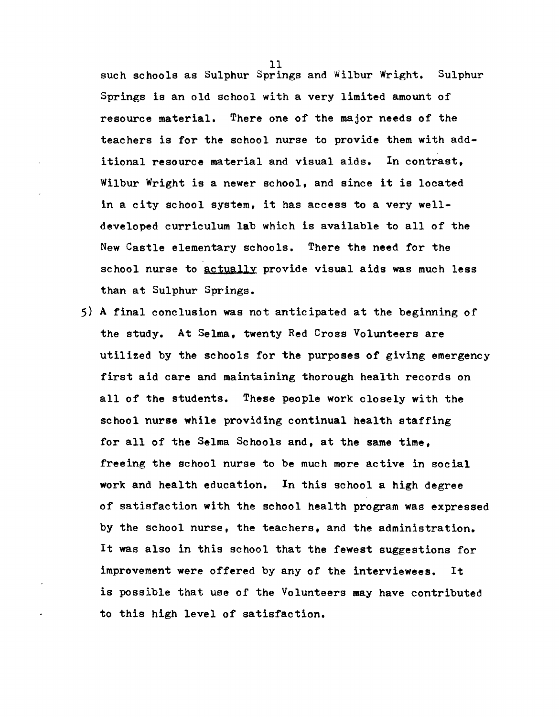such schools as Sulphur Springs and Wilbur Wright. Sulphur Springs is an old school with a very limited amount of resource material. There one of the major needs of the teachers is for the school nurse to provide them with additional resource material and visual aids. In contrast. Wilbur Wright is a newer school, and since it is located in a city school system, it has access to a very welldeveloped curriculum lab which is available to all of the New Castle elementary schools. There the need for the school nurse to actually provide visual aids was much less than at Sulphur Springs.

5) A final conclusion was not anticipated at the beginning of the study. At Selma, twenty Red Cross Volunteers are utilized by the schools for the purposes of giving emergency first aid care and maintaining thorough health records on all of the students. These people work closely with the school nurse while providing continual health staffing for all of the Selma Schools and, at the same time, freeing the school nurse to be much more active in social work and health education. In this school a high degree of satisfaction with the school health program was expressed by the school nurse, the teachers, and the administration. It was also in this school that the fewest suggestions for improvement were offered by any of the interviewees. It is possible that use of the Volunteers may have contributed to this high level of satisfaction.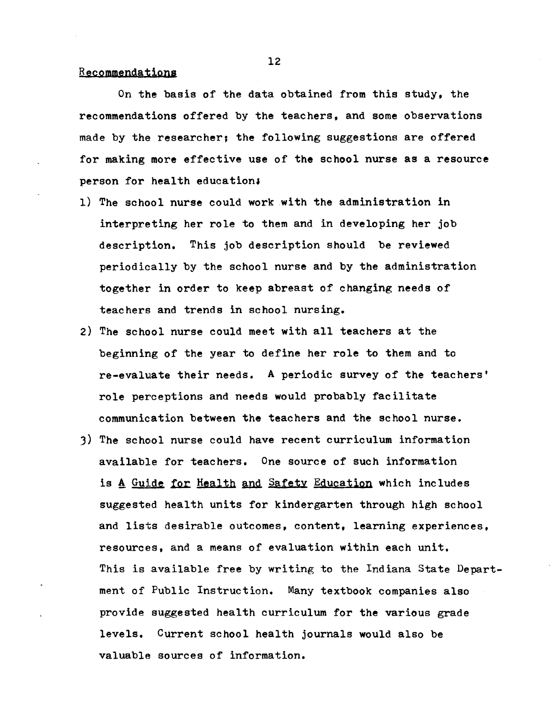#### Recommendations

On the basis of the data obtained from this study. the recommendations offered by the teachers, and some observations made by the researcher; the following suggestions are offered for making more effective use of the school nurse as a resource person for health education;

- 1) The school nurse could work with the administration in interpreting her role to them and in developing her job description. This job description should be reviewed periodically by the school nurse and by the administration together in order to keep abreast of changing needs of teachers and trends in school nursing.
- 2) The school nurse could meet with all teachers at the beginning of the year to define her role to them and to re-evaluate their needs. A periodic survey of the teachers' role perceptions and needs would probably facilitate communication between the teachers and the school nurse.
- 3) The school nurse could have recent curriculum information available for teachers. One source of such information is A Guide for Health and Safety Education which includes suggested health units for kindergarten through high school and lists desirable outcomes, content, learning experiences. resources, and a means of evaluation within each unit. This is available free by writing to the Indiana State Department of Public Instruction. Many textbook companies also provide suggested health curriculum for the various grade levels. Current school health journals would also be valuable sources of information.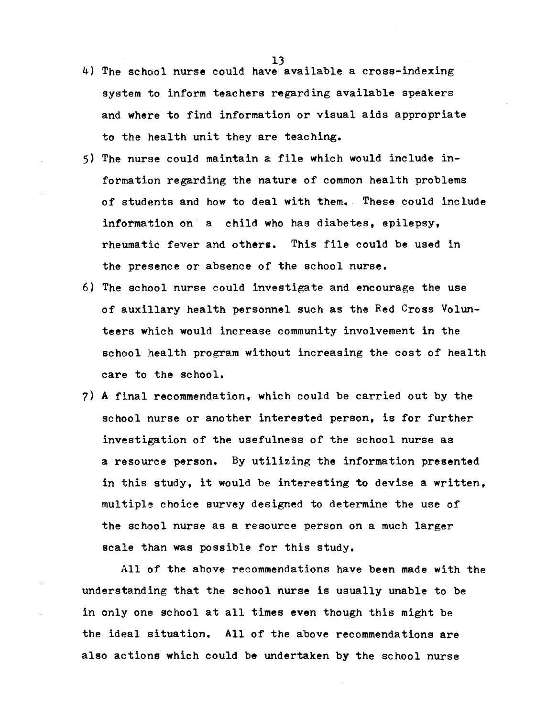- $4)$  The school nurse could have available a cross-indexing system to inform teachers regarding available speakers and where to find information or visual aids appropriate to the health unit they are teaching.
- 5) The nurse could maintain a file which would include information regarding the nature of common health problems of students and how to deal with them. These could include information on a child who has diabetes, epilepsy, rheumatic fever and others. This file could be used in the presence or absence of the school nurse.
- 6) The school nurse could investigate and encourage the use of auxilIary health personnel such as the Red Cross Volunteers which would increase community involvement in the school health program without increasing the cost of health care to the school.
- 7) A final recommendation, which could be carried out by the school nurse or another interested person, is for further investigation of the usefulness of the school nurse as a resource person. By utilizing the information presented in this study, it would be interesting to devise a written, multiple choice survey designed to determine the use of the school nurse as a resource person on a much larger scale than was possible for this study.

All of the above recommendations have been made with the understanding that the school nurse is usually unable to be in only one school at all times even though this might be the ideal situation. All of the above recommendations are also aetions which could be undertaken by the school nurse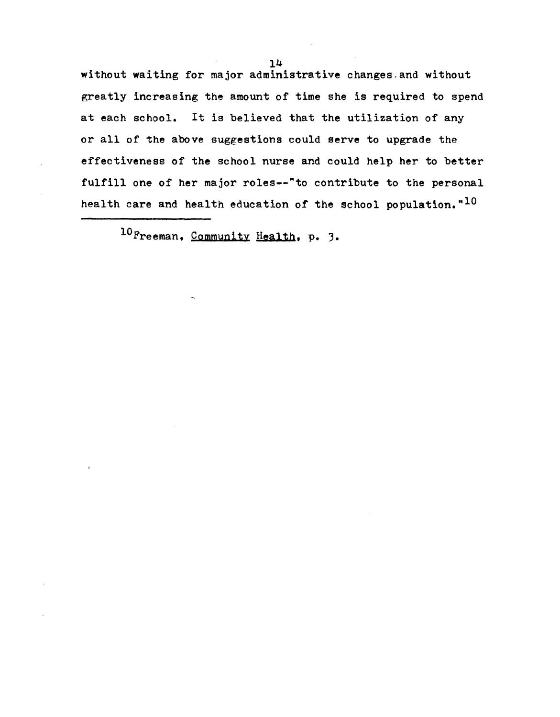without waiting for major administrative changes, and without greatly increasing the amount of time she is required to spend at each school. It is believed that the utilization of any or all of the above suggestions could serve to upgrade the effectiveness of the school nurse and could help her to better fulfill one of her major roles--"to contribute to the personal health care and health education of the school population.  $10$ 

10Freeman, Community Health, p. ).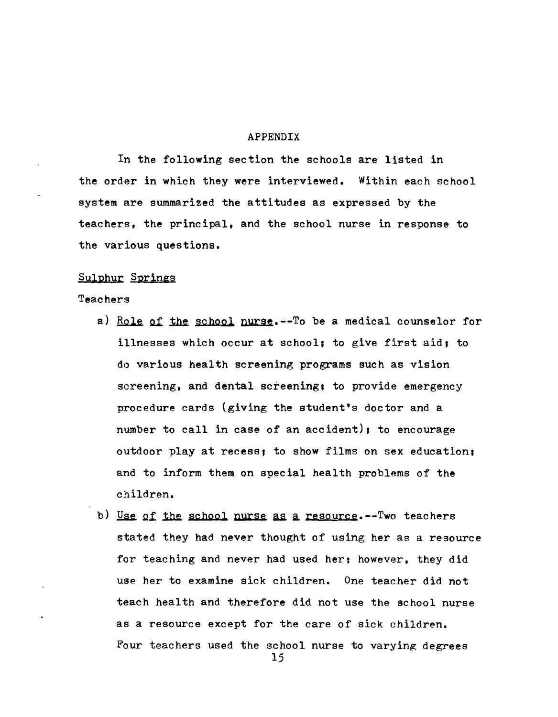#### APPENDIX

In the following section the schools are listed in the order in which they were interviewed. Within each school system are summarized the attitudes as expressed by the teachers, the principal, and the school nurse in response to the various questions.

# Sulphur Springs

Teachers

- a) Role of the school nurse.--To be a medical counselor for illnesses which occur at school; to give first aid, to do various health screening programs such as vision screening, and dental screening; to provide emergency procedure cards (giving the student's doctor and a number to call in case of an accident), to encourage outdoor play at recess, to show films on sex education, and to inform them on special health problems of the children.
- b) Use of the school nurse as a resource.--Two teachers stated they had never thought of using her as a resource for teaching and never had used her; however, they did use her to examine sick children. One teacher did not teach health and therefore did not use the school nurse as a resource except for the care of sick children. Four teachers used the school nurse to varying degrees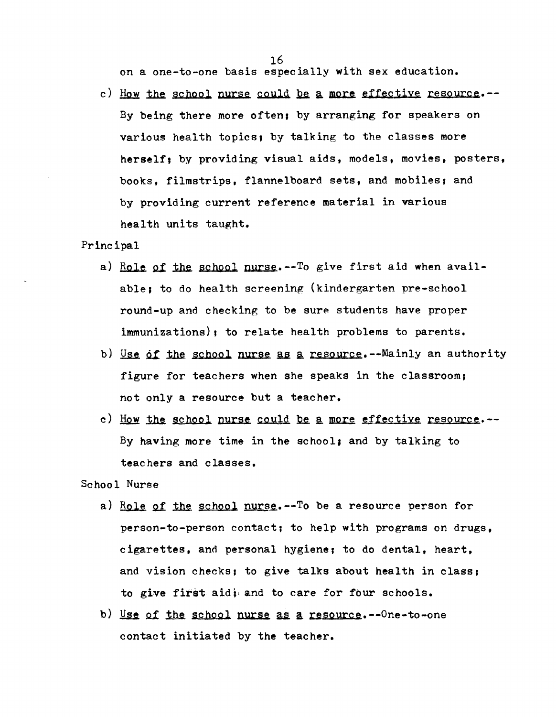on a one-to-one basis especially with sex education.

c) How the school nurse could be a more effective resource.--By being there more often; by arranging for speakers on various health topics, by talking to the classes more herself; by providing visual aids, models, movies, posters, books, filmstrips, flannelboard sets, and mobiles; and by providing current reference material in various health units taught.

#### Principal

- a) Role of the school nurse.  $-T_0$  give first aid when available; to do health screening (kindergarten pre-school round-up and checking to be sure students have proper immunizations), to relate health problems to parents.
- b) Use of the school nurse as a resource.--Mainly an authority figure for teachers when she speaks in the classroom, not only a resource but a teacher.
- c) How the school nurse could be a more effective resource.--By having more time in the school; and by talking to teachers and classes.

# School Nurse

- a) Role of the school nurse.  $-0$  be a resource person for person-to-person contact; to help with programs on drugs. cigarettes, and personal hygiene; to do dental, heart, and vision checks; to give talks about health in class; to give first aid; and to care for four schools.
- b) Use of the school nurse as a resource.--One-to-one contact initiated by the teacher.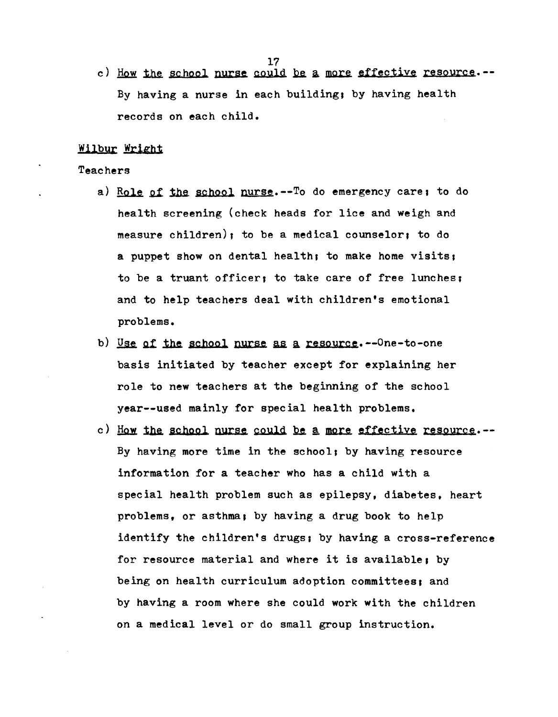c) How the school nurse could be a more effective resource.--By having a nurse in each building; by having health records on each child.

# Wilbur Wright

#### Teachers

- a) Role of the school nurse.--To do emergency care; to do health screening (check heads for lice and weigh and measure children); to be a medical counselor; to do a puppet show on dental health; to make home visits; to be a truant officer, to take care of free lunches; and to help teachers deal with children's emotional problems.
- b) Use of the school nurse as a resource.--One-to-one basis initiated by teacher except for explaining her role to new teachers at the beginning of the school year--used mainly for special health problems.
- c) How the school nurse could be a more effective resource.--By having more time in the school; by having resource information for a teacher who has a child with a special health problem such as epilepsy, diabetes, heart problems, or asthma, by having a drug book to help identify the children's drugs; by having a cross-reference for resource material and where it is available, by being on health curriculum adoption committees, and by having a room where she could work with the children on a medical level or do small group instruction.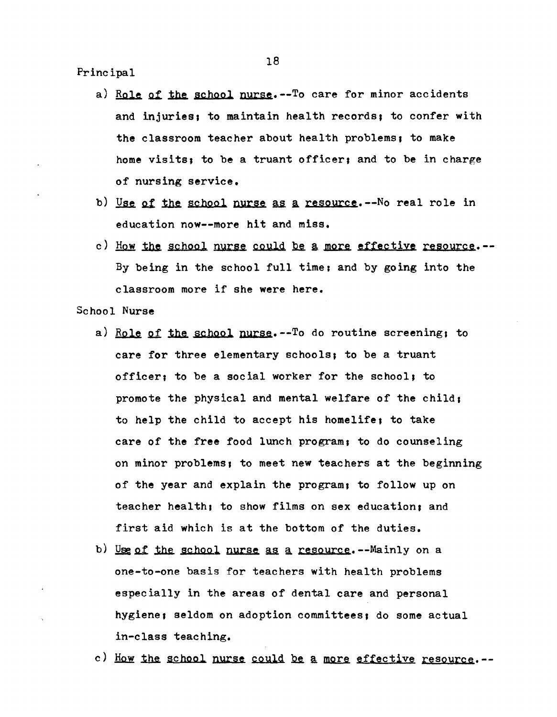Principal

- a) Role of the school nurse.--To care for minor accidents and injuries: to maintain health records; to confer with the classroom teacher about health problems; to make home visits; to be a truant officer; and to be in charge of nursing service.
- b) Use of the school nurse as a resource.--No real role in education now--more hit and miss.
- c) How the school nurse could be a more effective resource.--By being in the school full time; and by going into the classroom more if she were here.

School Nurse

- a) Role of the school nurse.--To do routine screening, to care for three elementary schools, to be a truant officer; to be a social worker for the school; to promote the physical and mental welfare of the child, to help the child to accept his homelife; to take care of the free food lunch program, to do counseling on minor problems, to meet new teachers at the beginning of the year and explain the program, to follow up on teacher health; to show films on sex education; and first aid which is at the bottom of the duties.
- b) Use of the school nurse as a resource.--Mainly on a one-to-one basis for teachers with health problems especially in the areas of dental care and personal hygiene, seldom on adoption committees, do some actual in-class teaching.
- c) How the school nurse could be a more effective resource.--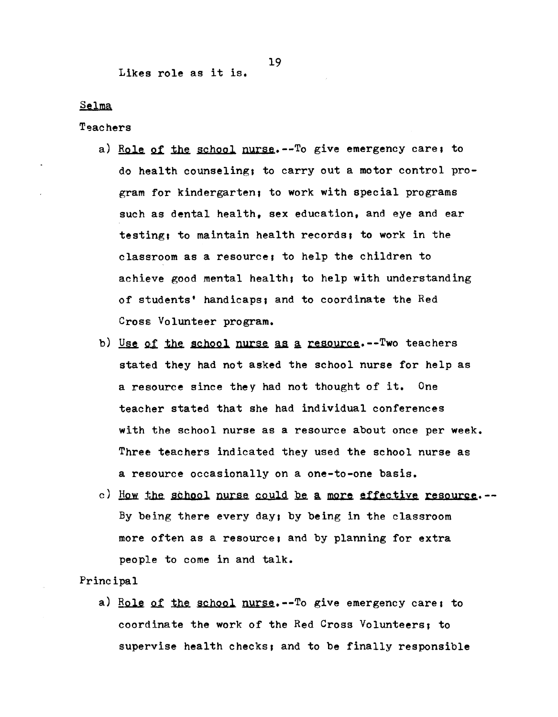## Likes role as it is.

#### Selma

Teachers

- a) Role of the school nurse.--To give emergency care; to do health counseling; to carry out a motor control program for kindergarten, to work with special programs such as dental health, sex education, and eye and ear testing; to maintain health records; to work in the classroom as a resource, to help the children to achieve good mental health, to help with understanding of students' handicaps, and to coordinate the Red Cross: Volunteer program.
- b) Use of the school nurse as a resource.--Two teachers stated they had not asked the school nurse for help as a resource since they had not thought of it. One teacher stated that she had individual conferences with the school nurse as a resource about once per week. Three teachers indicated they used the school nurse as a resource occasionally on a one-to-one basis.
- c) How the school nurse could be a more effective resource.--By being there every day, by being in the classroom more often as a resource, and by planning for extra people to come in and talk.

#### Principal

a) Role of the school nurse.--To give emergency care, to coordinate the work of the Red Cross Volunteers, to supervise health checks, and to be finally responsible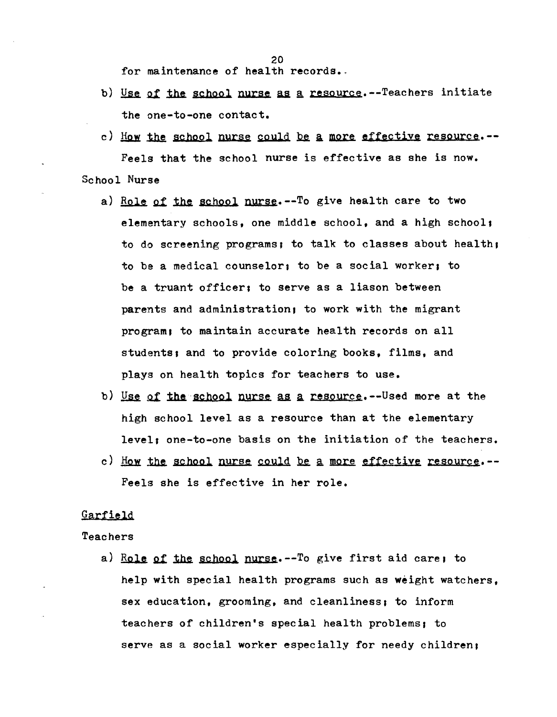20

for maintenance of health records.

- b) Use of the school nurse as a resource.--Teachers initiate the one-to-one contact.
- c) How the school nurse could be a more effective resource.--Feels that the school nurse is effective as she is now. School Nurse
	- a) Role of the school nurse.--To give health care to two elementary schools, one middle school, and a high schoo11 to do screening programs; to talk to classes about health; to be a medical counselor, to be a social worker. to be a truant officer; to serve as a liason between parents and administration, to work with the migrant program; to maintain accurate health records on all students; and to provide coloring books, films, and plays on health topics for teachers to use.
	- b) Use of the school nurse as a resource.--Used more at the high school level as a resource than at the elementary level, one-to-one basis on the initiation of the teachers.
	- c) How the school nurse could be a more effective resource.--Feels she is effective in her role.

## **Garfield**

#### Teachers

a) Role of the school nurse.--To give first aid care; to help with special health programs such as weight watchers, sex education, grooming, and cleanliness; to inform teachers of children's special health problems, to serve as a social worker especially for needy children;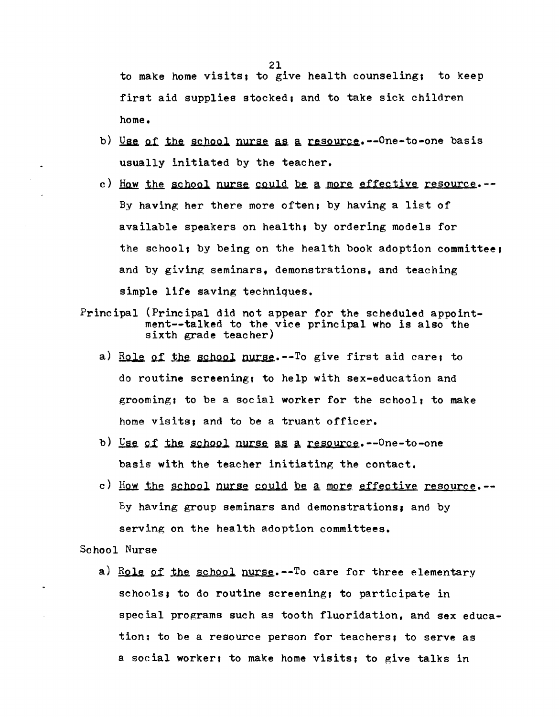to make home visits, to give health counseling. to keep first aid supplies stocked, and to take sick children home.

- b) Use of the school nurse as a resource.--One-to-one basis usually initiated by the teacher.
- c) How the school nurse could be a more effective resource.--By having her there more often, by having a list of available speakers on health, by ordering models for the school, by being on the health book adoption committee, and by giving seminars, demonstrations, and teaching simple life saving techniques.
- Principal (Principal did not appear for the scheduled appointment--ta1ked to the vice principal who is also the sixth grade teacher)
	- a) Role of the school nurse.--To give first aid care; to do routine screening, to help with sex-education and grooming; to be a social worker for the school; to make home visits, and to be a truant officer.
	- b) Use of the school nurse as a resource.  $-0$ ne-to-one basis with the teacher initiating the contact.
	- c) How the school nurse could be a more effective resource.--By having group seminars and demonstrations, and by serving on the health adoption committees.

School Nurse

 $\ddot{\phantom{a}}$ 

a) Role of the school nurse.--To care for three elementary schools; to do routine screening; to participate in special programs such as tooth fluoridation, and sex education; to be a resource person for teachers; to serve as a soeial worker, to make home visits, to give talks in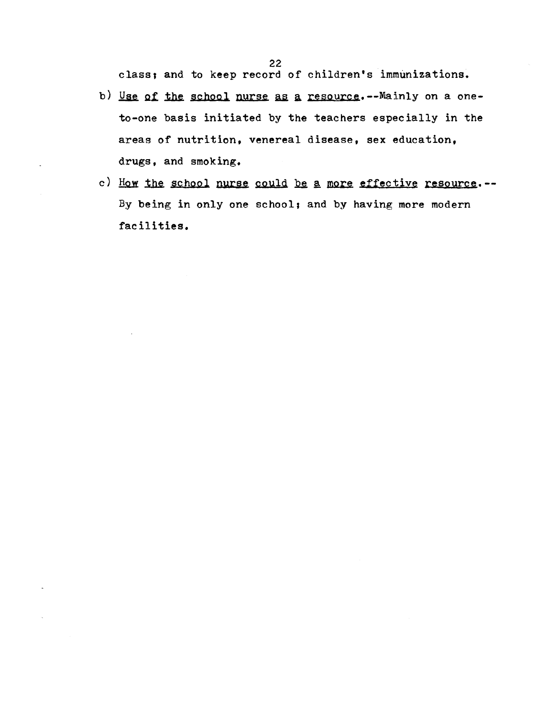class; and to keep record of children's immunizations.

- b) Use of the school nurse as a resource.--Mainly on a oneto-one basis initiated by the teachers especially in the areas of nutrition. venereal disease, sex education, drugs, and smoking.
- c) How the school nurse could be a more effective resource.--By being in only one school; and by having more modern facilities.